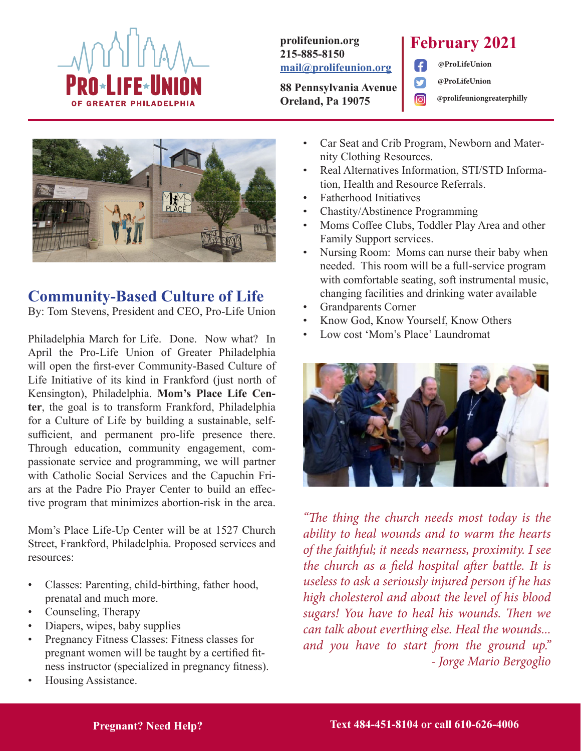

#### **prolifeunion.org 215-885-8150 mail@prolifeunion.org**

**88 Pennsylvania Avenue Oreland, Pa 19075**

### **February 2021**

**@ProLifeUnion**

**@ProLifeUnion**

**@prolifeuniongreaterphilly**



### **Community-Based Culture of Life**

By: Tom Stevens, President and CEO, Pro-Life Union

Philadelphia March for Life. Done. Now what? In April the Pro-Life Union of Greater Philadelphia will open the first-ever Community-Based Culture of Life Initiative of its kind in Frankford (just north of Kensington), Philadelphia. **Mom's Place Life Center**, the goal is to transform Frankford, Philadelphia for a Culture of Life by building a sustainable, selfsufficient, and permanent pro-life presence there. Through education, community engagement, compassionate service and programming, we will partner with Catholic Social Services and the Capuchin Friars at the Padre Pio Prayer Center to build an effective program that minimizes abortion-risk in the area.

Mom's Place Life-Up Center will be at 1527 Church Street, Frankford, Philadelphia. Proposed services and resources:

- Classes: Parenting, child-birthing, father hood, prenatal and much more.
- Counseling, Therapy
- Diapers, wipes, baby supplies
- Pregnancy Fitness Classes: Fitness classes for pregnant women will be taught by a certified fitness instructor (specialized in pregnancy fitness).
- Housing Assistance.

Car Seat and Crib Program, Newborn and Maternity Clothing Resources.

 $\epsilon$ 

- Real Alternatives Information, STI/STD Information, Health and Resource Referrals.
- Fatherhood Initiatives
- Chastity/Abstinence Programming
- Moms Coffee Clubs, Toddler Play Area and other Family Support services.
- Nursing Room: Moms can nurse their baby when needed. This room will be a full-service program with comfortable seating, soft instrumental music, changing facilities and drinking water available
- Grandparents Corner
- Know God, Know Yourself, Know Others
- Low cost 'Mom's Place' Laundromat



*"The thing the church needs most today is the ability to heal wounds and to warm the hearts of the faithful; it needs nearness, proximity. I see the church as a field hospital after battle. It is useless to ask a seriously injured person if he has high cholesterol and about the level of his blood sugars! You have to heal his wounds. Then we can talk about everthing else. Heal the wounds... and you have to start from the ground up." - Jorge Mario Bergoglio*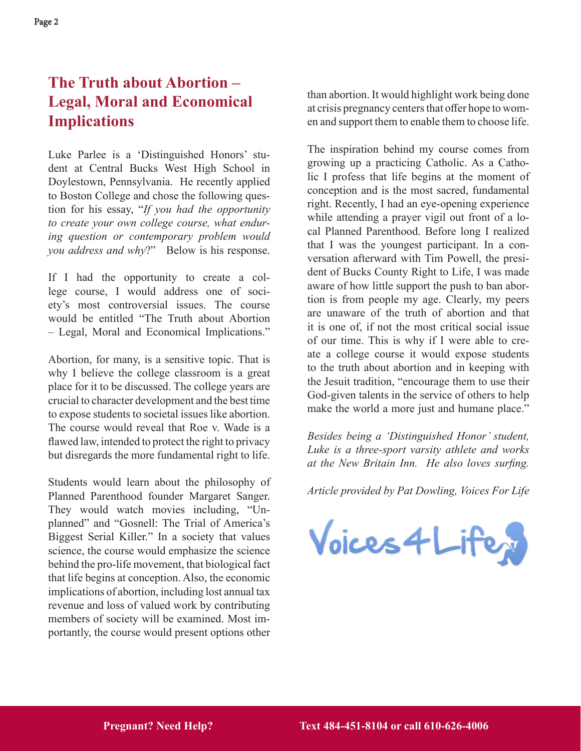### **The Truth about Abortion – Legal, Moral and Economical Implications**

Luke Parlee is a 'Distinguished Honors' student at Central Bucks West High School in Doylestown, Pennsylvania. He recently applied to Boston College and chose the following question for his essay, "*If you had the opportunity to create your own college course, what enduring question or contemporary problem would you address and why*?" Below is his response.

If I had the opportunity to create a college course, I would address one of society's most controversial issues. The course would be entitled "The Truth about Abortion – Legal, Moral and Economical Implications."

Abortion, for many, is a sensitive topic. That is why I believe the college classroom is a great place for it to be discussed. The college years are crucial to character development and the best time to expose students to societal issues like abortion. The course would reveal that Roe v. Wade is a flawed law, intended to protect the right to privacy but disregards the more fundamental right to life.

Students would learn about the philosophy of Planned Parenthood founder Margaret Sanger. They would watch movies including, "Unplanned" and "Gosnell: The Trial of America's Biggest Serial Killer." In a society that values science, the course would emphasize the science behind the pro-life movement, that biological fact that life begins at conception. Also, the economic implications of abortion, including lost annual tax revenue and loss of valued work by contributing members of society will be examined. Most importantly, the course would present options other

than abortion. It would highlight work being done at crisis pregnancy centers that offer hope to women and support them to enable them to choose life.

The inspiration behind my course comes from growing up a practicing Catholic. As a Catholic I profess that life begins at the moment of conception and is the most sacred, fundamental right. Recently, I had an eye-opening experience while attending a prayer vigil out front of a local Planned Parenthood. Before long I realized that I was the youngest participant. In a conversation afterward with Tim Powell, the president of Bucks County Right to Life, I was made aware of how little support the push to ban abortion is from people my age. Clearly, my peers are unaware of the truth of abortion and that it is one of, if not the most critical social issue of our time. This is why if I were able to create a college course it would expose students to the truth about abortion and in keeping with the Jesuit tradition, "encourage them to use their God-given talents in the service of others to help make the world a more just and humane place."

*Besides being a 'Distinguished Honor' student, Luke is a three-sport varsity athlete and works at the New Britain Inn. He also loves surfing.* 

*Article provided by Pat Dowling, Voices For Life*

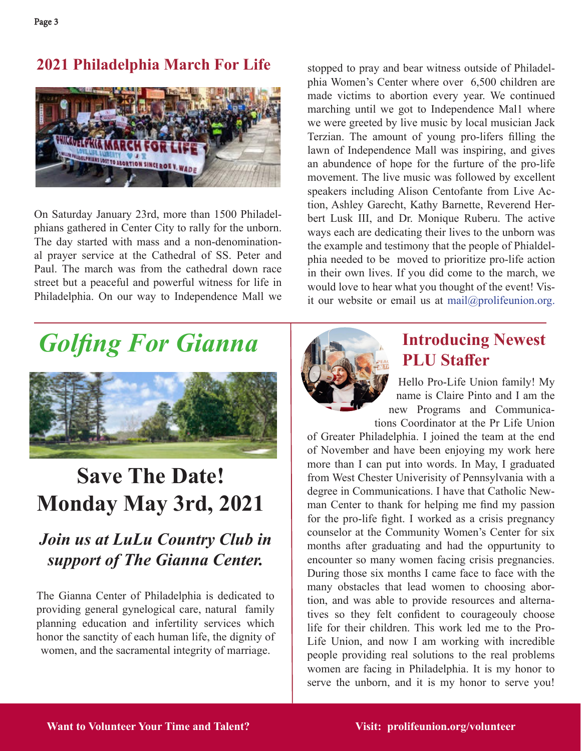### **2021 Philadelphia March For Life**



On Saturday January 23rd, more than 1500 Philadelphians gathered in Center City to rally for the unborn. The day started with mass and a non-denominational prayer service at the Cathedral of SS. Peter and Paul. The march was from the cathedral down race street but a peaceful and powerful witness for life in Philadelphia. On our way to Independence Mall we stopped to pray and bear witness outside of Philadelphia Women's Center where over 6,500 children are made victims to abortion every year. We continued marching until we got to Independence Mal1 where we were greeted by live music by local musician Jack Terzian. The amount of young pro-lifers filling the lawn of Independence Mall was inspiring, and gives an abundence of hope for the furture of the pro-life movement. The live music was followed by excellent speakers including Alison Centofante from Live Action, Ashley Garecht, Kathy Barnette, Reverend Herbert Lusk III, and Dr. Monique Ruberu. The active ways each are dedicating their lives to the unborn was the example and testimony that the people of Phialdelphia needed to be moved to prioritize pro-life action in their own lives. If you did come to the march, we would love to hear what you thought of the event! Visit our website or email us at mail@prolifeunion.org.

# *Golfing For Gianna*



## **Save The Date! Monday May 3rd, 2021**

### *Join us at LuLu Country Club in support of The Gianna Center.*

The Gianna Center of Philadelphia is dedicated to providing general gynelogical care, natural family planning education and infertility services which honor the sanctity of each human life, the dignity of women, and the sacramental integrity of marriage.



### **Introducing Newest PLU Staffer**

Hello Pro-Life Union family! My name is Claire Pinto and I am the new Programs and Communications Coordinator at the Pr Life Union

of Greater Philadelphia. I joined the team at the end of November and have been enjoying my work here more than I can put into words. In May, I graduated from West Chester Univerisity of Pennsylvania with a degree in Communications. I have that Catholic Newman Center to thank for helping me find my passion for the pro-life fight. I worked as a crisis pregnancy counselor at the Community Women's Center for six months after graduating and had the oppurtunity to encounter so many women facing crisis pregnancies. During those six months I came face to face with the many obstacles that lead women to choosing abortion, and was able to provide resources and alternatives so they felt confident to courageouly choose life for their children. This work led me to the Pro-Life Union, and now I am working with incredible people providing real solutions to the real problems women are facing in Philadelphia. It is my honor to serve the unborn, and it is my honor to serve you!